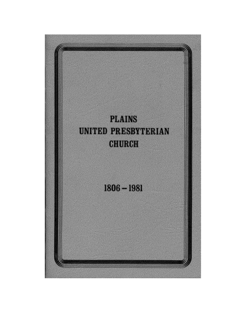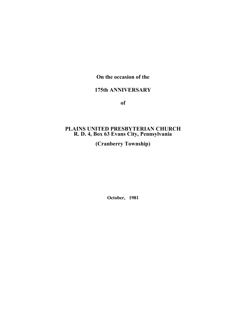## **On the occasion of the**

## **175th ANNIVERSARY**

**of**

### **PLAINS UNITED PRESBYTERIAN CHURCH R. D. 4, Box 63 Evans City, Pennsylvania**

**(Cranberry Township)**

**October, 1981**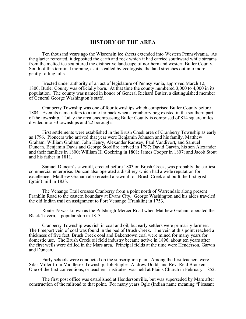#### **HISTORY OF THE AREA**

Ten thousand years ago the Wisconsin ice sheets extended into Western Pennsylvania. As the glacier retreated, it deposited the earth and rock which it had carried southward while streams from the melted ice sculptured the distinctive landscape of northern and western Butler County. South of this terminal moraine, as it is called by geologists, the land stretches out into more gently rolling hills.

Erected under authority of an act of legislature of Pennsylvania, approved March 12, 1800, Butler County was officially born. At that time the county numbered 3,000 to 4,000 in its population. The county was named in honor of General Richard Butler, a distinguished member of General George Washington's staff.

Cranberry Township was one of four townships which comprised Butler County before 1804. Even its name refers to a time far back when a cranberry bog existed in the southern part of the township. Today the area encompassing Butler County is comprised of 814 square miles divided into 33 townships and 22 boroughs.

First settlements were established in the Brush Creek area of Cranberry Township as early as 1796. Pioneers who arrived that year were Benjamin Johnson and his family, Matthew Graham, William Graham, John Henry, Alexander Ramsey, Paul Vandivort, and Samuel Duncan. Benjamin Davis and George Stoolfire arrived in 1797; David Garvin, his son Alexander and their families in 1800; William H. Goehring in 1801; James Cooper in 1807; and Jacob Stout and his father in 1811.

Samuel Duncan's sawmill, erected before 1803 on Brush Creek, was probably the earliest commercial enterprise. Duncan also operated a distillery which had a wide reputation for excellence. Matthew Graham also erected a sawmill on Brush Creek and built the first grist (grain) mill in 1833.

The Venango Trail crosses Cranberry from a point north of Warrendale along present Franklin Road to the eastern boundary at Evans City. George Washington and his aides traveled the old Indian trail on assignment to Fort Venango (Franklin) in 1753.

Route 19 was known as the Pittsburgh-Mercer Road when Matthew Graham operated the Black Tavern, a popular stop in 1813.

Cranberry Township was rich in coal and oil, but early settlers were primarily farmers. The Freeport vein of coal was found in the bed of Brush Creek. The vein at this point reached a thickness of five feet. Brush Creek coal and Bakerstown coal were mined for many years for domestic use. The Brush Creek oil field industry became active in 1896, about ten years after the first wells were drilled in the Mars area. Principal fields at the time were Henderson, Garvin and Duncan.

Early schools were conducted on the subscription plan. Among the first teachers were Silas Miller from Middlesex Township, Job Staples, Andrew Dodd, and Rev. Reid Bracken. One of the first conventions, or teachers' institutes, was held at Plains Church in February, 1852.

The first post office was established at Hendersonville, but was superseded by Mars after construction of the railroad to that point. For many years Ogle (Indian name meaning "Pleasant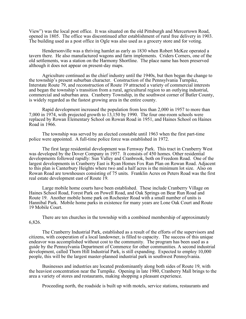View") was the local post office. It was situated on the old Pittsburgh and Mercertown Road, opened in 1805. The office was discontinued after establishment of rural free delivery in 1903. The building used as a post office in Ogle was also used as a grocery store and for voting.

Hendersonville was a thriving hamlet as early as 1830 when Robert McKee operated a tavern there. He also manufactured wagons and farm implements. Criders Corners, one of the old settlements, was a station on the Harmony Shortline. The place name has been preserved although it does not appear on present-day maps.

Agriculture continued as the chief industry until the 1940s, but then began the change to the township's present suburban character. Construction of the Pennsylvania Turnpike, Interstate Route 79, and reconstruction of Route 19 attracted a variety of commercial interests and began the township's transition from a rural, agricultural region to an outlying industrial, commercial and suburban area. Cranberry Township, in the southwest corner of Butler County, is widely regarded as the fastest growing area in the entire county.

Rapid development increased the population from less than 2,000 in 1957 to more than 7,000 in 1974, with projected growth to 13,150 by 1990. The four one-room schools were replaced by Rowan Elementary School on Rowan Road in 1951, and Haines School on Haines Road in 1966.

The township was served by an elected constable until 1963 when the first part-time police were appointed. A full-time police force was established in 1972.

The first large residential development was Fernway Park. This tract in Cranberry West was developed by the Dover Company in 1957. It consists of 450 homes. Other residential developments followed rapidly: Sun Valley and Cranbrook, both on Freedom Road. One of the largest developments in Cranberry East is Ryan Homes Fox Run Plan on Rowan Road. Adjacent to this plan is Canterbury Heights where two and a half acres is the minimum lot size. Also on Rowan Road are townhouses consisting of 75 units. Franklin Acres on Peters Road was the first real estate development east of Route 19.

Large mobile home courts have been established. These include Cranberry Village on Haines School Road, Forest Park on Powell Road, and Oak Springs on Bear Run Road and Route 19. Another mobile home park on Rochester Road with a small number of units is Hannibal Park. Mobile home parks in existence for many years are Lone Oak Court and Route 19 Mobile Court.

There are ten churches in the township with a combined membership of approximately 6,826.

The Cranberry Industrial Park, established as a result of the efforts of the supervisors and citizens, with cooperation of a local landowner, is filled to capacity. The success of this unique endeavor was accomplished without cost to the community. The program has been used as a guide by the Pennsylvania Department of Commerce for other communities. A second industrial development, called Thorn Hill Industrial Park, is still expanding. Expected to employ 10,000 people, this will be the largest master-planned industrial park in southwest Pennsylvania.

Businesses and industries are located predominantly along both sides of Route 19, with the heaviest concentration near the Turnpike. Opening in late 1980, Cranberry Mall brings to the area a variety of stores and restaurants, making shopping a pleasant experience.

Proceeding north, the roadside is built up with motels, service stations, restaurants and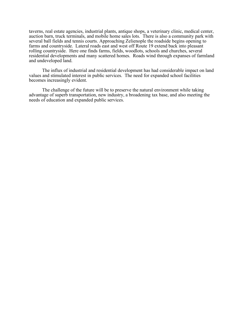taverns, real estate agencies, industrial plants, antique shops, a veterinary clinic, medical center, auction barn, truck terminals, and mobile home sales lots. There is also a community park with several ball fields and tennis courts. Approaching Zelienople the roadside begins opening to farms and countryside. Lateral roads east and west off Route 19 extend back into pleasant rolling countryside. Here one finds farms, fields, woodlots, schools and churches, several residential developments and many scattered homes. Roads wind through expanses of farmland and undeveloped land.

The influx of industrial and residential development has had considerable impact on land values and stimulated interest in public services. The need for expanded school facilities becomes increasingly evident.

The challenge of the future will be to preserve the natural environment while taking advantage of superb transportation, new industry, a broadening tax base, and also meeting the needs of education and expanded public services.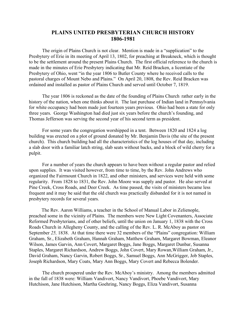### **PLAINS UNITED PRESBYTERIAN CHURCH HISTORY 1806-1981**

The origin of Plains Church is not clear. Mention is made in a "supplication" to the Presbytery of Erie in its meeting of April 13, 1802, for preaching at Breakneck, which is thought to be the settlement around the present Plains Church. The first official reference to the church is made in the minutes of Erie Presbytery indicating that Mr. Reid Bracken, a licentiate of the Presbytery of Ohio, went "in the year 1806 to Butler County where he received calls to the pastoral charges of Mount Nebo and Plains." On April 20, 1808, the Rev. Reid Bracken was ordained and installed as pastor of Plains Church and served until October 7, 1819.

The year 1806 is reckoned as the date of the founding of Plains Church rather early in the history of the nation, when one thinks about it. The last purchase of Indian land in Pennsylvania for white occupancy had been made just fourteen years previous. Ohio had been a state for only three years. George Washington had died just six years before the church's founding, and Thomas Jefferson was serving the second year of his second term as president.

For some years the congregation worshipped in a tent. Between 1820 and 1824 a log building was erected on a plot of ground donated by Mr. Benjamin Davis (the site of the present church). This church building had all the characteristics of the log houses of that day, including a slab door with a familiar latch string, slab seats without backs, and a block of wild cherry for a pulpit.

For a number of years the church appears to have been without a regular pastor and relied upon supplies. It was visited however, from time to time, by the Rev. John Andrews who organized the Fairmount Church in 1822, and other ministers, and services were held with some regularity. From 1828 to 1831, the Rev. John Moore was supply and pastor. He also served at Pine Creek, Cross Roads, and Deer Creek. As time passed, the visits of ministers became less frequent and it may be said that the old church was practically disbanded for it is not named in presbytery records for several years.

The Rev. Aaron Williams, a teacher in the School of Manual Labor in Zelienople, preached some in the vicinity of Plains. The members were New Light Covenanters, Associate Reformed Presbyterians, and of other beliefs, until the union on January 1, 1838 with the Cross Roads Church in Allegheny County, and the calling of the Rev. L. R. McAboy as pastor on September 25, 1838. At that time there were 32 members of the "Plains" congregation: William Graham, Sr., Elizabeth Graham, Hannah Graham, Matthew Graham, Margaret Bowman, Eleanor Wilson, James Garvin, Ann Covert, Margaret Boggs, Jane Boggs, Margaret Dunbar, Susanna Staples, Margaret Richardson, Andrew Boggs, John Covert, Mary Rowan,William Graham, Jr., David Graham, Nancy Garvin, Robert Boggs, Sr., Samuel Boggs, Ann McGrigger, Job Staples, Joseph Richardson, Mary Coats, Mary Ann Boggs, Mary Covert and Rebecca Bolender.

The church prospered under the Rev. McAboy's ministry. Among the members admitted in the fall of 1838 were: William Vandivort, Nancy Vandivort, Phoebe Vandivort, Mary Hutchison, Jane Hutchison, Martha Goehring, Nancy Boggs, Eliza Vandivort, Susanna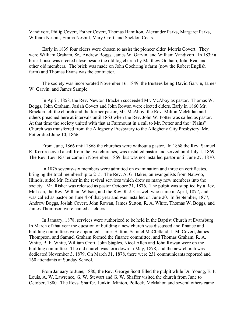Vandivort, Philip Covert, Esther Covert, Thomas Hamilton, Alexander Parks, Margaret Parks, William Nesbitt, Emma Nesbitt, Mary Croft, and Sheldon Coats.

Early in 1839 four elders were chosen to assist the pioneer elder -Morris Covert. They were William Graham, Sr., Andrew Boggs, James W. Garvin, and William Vandivort. In 1839 a brick house was erected close beside the old log church by Matthew Graham, John Rea, and other old members. The brick was made on John Goehring's farm (now the Robert English farm) and Thomas Evans was the contractor.

The society was incorporated November 16, 1849, the trustees being David Garvin, James W. Garvin, and James Sample.

In April, 1858, the Rev. Newton Bracken succeeded Mr. McAboy as pastor. Thomas W. Boggs, John Graham, Josiah Covert and John Rowan were elected elders. Early in 1860 Mr. Bracken left the church and the former pastor, Mr. McAboy, the Rev. Milton McMillan and others preached here at intervals until 1863 when the Rev. John W. Potter was called as pastor. At that time the society united with that at Fairmount in a call to Mr. Potter and the "Plains" Church was transferred from the Allegheny Presbytery to the Allegheny City Presbytery. Mr. Potter died June 10, 1866.

From June, 1866 until 1868 the churches were without a pastor. In 1868 the Rev. Samuel R. Kerr received a call from the two churches, was installed pastor and served until July 1, 1869. The Rev. Levi Risher came in November, 1869, but was not installed pastor until June 27, 1870.

In 1876 seventy-six members were admitted on examination and three on certificates, bringing the total membership to 215. The Rev. A. G. Baker, an evangelists from Nauvoo, Illinois, aided Mr. Risher in the revival services which drew so many new members into the society. Mr. Risher was released as pastor October 31, 1876. The pulpit was supplied by a Rev. McLean, the Rev. William Wilson, and the Rev. R. J. Criswell who came in April, 1877, and was called as pastor on June 4 of that year and was installed on June 20. In September, 1877, Andrew Boggs, Josiah Covert, John Rowan, James Sutton, R. A. White, Thomas W. Boggs, and James Thompson were named as elders.

In January, 1878, services were authorized to be held in the Baptist Church at Evansburg. In March of that year the question of building a new church was discussed and finance and building committees were appointed. James Sutton, Samuel McCIelland, J. M. Covert, James Thompson, and Samuel Graham formed the finance committee, and Thomas Graham, R. A. White, B. F. White, William Croft, John Staples, Nicol Allen and John Rowan were on the building committee. The old church was torn down in May, 1878, and the new church was dedicated November 3, 1879. On March 31, 1878, there were 231 communicants reported and 160 attendants at Sunday School.

From January to June, 1880, the Rev. George Scott filled the pulpit while Dr. Young, E. P. Louis, A. W. Lawrence, G. W. Stewart and G. W. Shaffer visited the church from June to October, 1880. The Revs. Shaffer, Junkin, Minton, Pollock, McMahon and several others came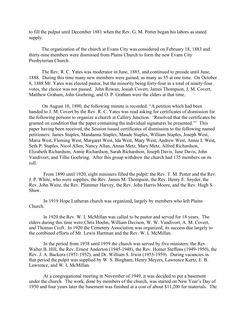to fill the pulput until December 1881 when the Rev. G. M. Potter began his labors as stated supply.

The organization of the church at Evans City was considered on February 18, 1883 and thirty-nine members were dismissed from Plains Church to form the new Evans City Presbyterian Church.

The Rev. R. C. Yates was moderator in June, 1885, and continued to preside until June, 1888. During this time many new members were gained, as many as 35 at one time. On October 8, 1888 Mr. Yates was elected pastor, but the minority being forty-four in a total of ninety-four votes, the choice was not passed. John Rowan, Josiah Covert, James Thompson, J. M. Covert, Matthew Graham, John Goehring, and O. P. Graham were the elders at that time.

On August 10, 1890, the following minute is recorded: "A petition which had been handed to J. M. Covert by the Rev. R. C. Yates was read asking for certificates of dismission for the following persons to organize a church at Callery Junction. 'Resolved that the certificates be granted on condition that the paper containing the individual signatures be presented."' This paper having been received, the Session issued certificates of dismission to the following named petitioners: James Staples, Mandanna Staples, Maude Staples, William Staples, Joseph West, Maria West, Fleming West, Margaret West, Ida West, Mary West, Andrew West, Annie L West, Seth P. Staples, Nicol Allen, Nancy Allan, Annas Metz, Mary Metz, Alfred Richardson, Elizabeth Richardson, Annie Richardson, Sarah Richardson, Joseph Davis, Jane Davis, John Vandivort, and Tillie Goehring. After this group withdrew the church had 135 members on its roll.

From 1890 until 1920, eight ministers filled the pulpit: the Rev. T. M. Potter and the Rev. J. P. White, who were supplies, the Rev. James M. Thompson, the Rev. Henry E. Snyder, the Rev. John Waite, the Rev. Plummer Harvey, the Rev. John Harris Moore, and the Rev. Hugh S. Shaw.

In 1919 Hope Lutheran church was organized, largely by members who left Plains Church.

ln 1920 the Rev. W. L McMillan was called to be pastor and served for 18 years. The elders during this time were Chris Hoehn, William Davison, W. W. Vandivort, A. M. Covert, and Thomas Croft. In 1920 the Cemetery Association was organized, its success due largely to the combined efforts of Mr. Lewis Hartman and the Rev. W. L McMillan.

In the period from 1938 until 1959 the church was served by five ministers: the Rev. Walter B. Hill, the Rev. Ernest Anderton (1945-1948), the Rev. Homer Steffens (1949-1950), the Rev. J. A. Backora (1951-1952), and Dr. William S. Irwin (1953-1959). During vacancies in that period the pulpit was supplied by W. S. Bingham, Henry Meyers, Lawrence Kurtz, E. B. Lawrence, and W. L McMillan.

At a congregational meeting in November of 1949, it was decided to put a basement under the church. The work, done by members of the church, was started on New Year's Day of 1950 and four years later the basement was finished at a cost of about \$11,200 for materials. The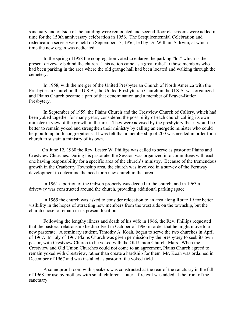sanctuary and outside of the building were remodeled and second floor classrooms were added in time for the 150th anniversary celebration in 1956. The Sesquicentennial Celebration and rededication service were held on September 13, 1956, led by Dr. William S. lrwin, at which time the new organ was dedicated.

In the spring of1958 the congregation voted to enlarge the parking "lot" which is the present driveway behind the church. This action came as a great relief to those members who had been parking in the area where the old grange hall had been located and walking through the cemetery.

In 1958, with the merger of the United Presbyterian Church of North America with the Presbyterian Church in the U.S.A., the United Presbyterian Church in the U.S.A. was organized and Plains Church became a part of that denomination and a member of Beaver-Butler Presbytery.

In September of 1959, the Plains Church and the Crestview Church of Callery, which had been yoked together for many years, considered the possibility of each church calling its own minister in view of the growth in the area. They were advised by the presbytery that it would be better to remain yoked and strengthen their ministry by calling an energetic minister who could help build up both congregations. It was felt that a membership of 200 was needed in order for a church to sustain a ministry of its own.

On June 12, 1960 the Rev. Lester W. Phillips was called to serve as pastor of Plains and Crestview Churches. During his pastorate, the Session was organized into committees with each one having responsibility for a specific area of the church's ministry. Because of the tremendous growth in the Cranberry Township area, the church was involved in a survey of the Fernway development to determine the need for a new church in that area.

ln 1961 a portion of the Gibson property was deeded to the church, and in 1963 a driveway was constructed around the church, providing additional parking space.

ln 1965 the church was asked to consider relocation to an area along Route 19 for better visibility in the hopes of attracting new members from the west side on the township, but the church chose to remain in its present location.

Following the lengthy illness and death of his wife in 1966, the Rev. Phillips requested that the pastoral relationship be dissolved in October of 1966 in order that he might move to a new pastorate. A seminary student, Timothy A. Koah, began to serve the two churches in April of 1967. In July of 1967 Plains Church was given permission by the presbytery to seek its own pastor, with Crestview Church to be yoked with the Old Union Church, Mars. When the Crestview and Old Union Churches could not come to an agreement, Plains Church agreed to remain yoked with Crestview, rather than create a hardship for them. Mr. Koah was ordained in December of 1967 and was installed as pastor of the yoked field.

A soundproof room with speakers was constructed at the rear of the sanctuary in the fall of 1968 for use by mothers with small children. Later a fire exit was added at the front of the sanctuary.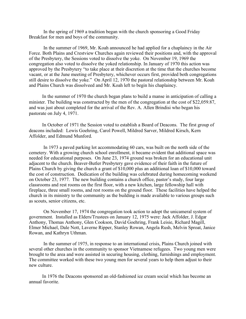In the spring of 1969 a tradition began with the church sponsoring a Good Friday Breakfast for men and boys of the community.

In the summer of 1969, Mr. Koah announced he had applied for a chaplaincy in the Air Force. Both Plains and Crestview Churches again reviewed their positions and, with the approval of the Presbytery, the Sessions voted to dissolve the yoke. On November 19, 1969 the congregation also voted to dissolve the yoked relationship. In January of 1970 this action was approved by the Presbytery "to take place at their discretion at the time that the churches become vacant, or at the June meeting of Presbytery, whichever occurs first, provided both congregations still desire to dissolve the yoke." On April 12, 1970 the pastoral relationship between Mr. Koah and Plains Church was dissolveed and Mr. Koah left to begin his chaplaincy.

In the summer of 1970 the church began plans to build a manse in anticipation of calling a minister. The building was constructed by the men of the congregation at the cost of \$22,059.87, and was just about completed for the arrival of the Rev. A. Allen Brindisi who began his pastorate on July 4, 1971.

In October of 1971 the Session voted to establish a Board of Deacons. The first group of deacons included: Lewis Goehring, Carol Powell, Mildred Sarver, Mildred Kirsch, Kern Affolder, and Edmund Munford.

In 1973 a paved parking lot accommodating 60 cars, was built on the north side of the cemetery. With a growing church school enrollment, it became evident that additional space was needed for educational purposes. On June 23, 1974 ground was broken for an educational unit adjacent to the church. Beaver-Butler Presbytery gave evidence of their faith in the future of Plains Church by giving the church a grant of \$10,000 plus an additional loan of \$10,000 toward the cost of construction. Dedication of the building was celebrated during homecoming weekend on October 23, 1977. The new building contains a church office, pastor's study, four large classrooms and rest rooms on the first floor, with a new kitchen, large fellowship hall with fireplace, three small rooms, and rest rooms on the ground floor. These facilities have helped the church in its ministry to the community as the building is made available to various groups such as scouts, senior citizens, etc.

On November 17, 1974 the congregation took action to adopt the unicameral system of government. Installed as Elders/Trustees on January 12, 1975 were: Jack Affolder, J. Edgar Anthony, Thomas Anthony, Glen Cookson, David Goehring, Frank Leisie, Richard Magill, Elmer Michael, Dale Nott, Laverne Ripper, Stanley Rowan, Angela Rush, Melvin Sproat, Janice Rowan, and Kathryn Uthman.

In the summer of 1975, in response to an international crisis, Plains Church joined with several other churches in the community to sponsor Vietnamese refugees. Two young men were brought to the area and were assisted in securing housing, clothing, furnishings and employment. The committee worked with these two young men for several years to help them adjust to their new culture.

In 1976 the Deacons sponsored an old-fashioned ice cream social which has become an annual favorite.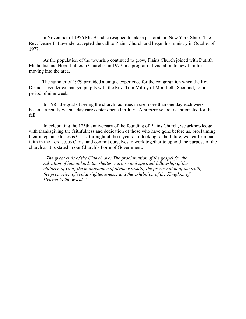In November of 1976 Mr. Brindisi resigned to take a pastorate in New York State. The Rev. Deane F. Lavender accepted the call to Plains Church and began his ministry in October of 1977.

As the population of the township continued to grow, Plains Church joined with Dutilth Methodist and Hope Lutheran Churches in 1977 in a program of visitation to new families moving into the area.

The summer of 1979 provided a unique experience for the congregation when the Rev. Deane Lavender exchanged pulpits with the Rev. Tom Milroy of Monifieth, Scotland, for a period of nine weeks.

In 1981 the goal of seeing the church facilities in use more than one day each week became a reality when a day care center opened in July. A nursery school is anticipated for the fall.

In celebrating the 175th anniversary of the founding of Plains Church, we acknowledge with thanksgiving the faithfulness and dedication of those who have gone before us, proclaiming their allegiance to Jesus Christ throughout these years. In looking to the future, we reaffirm our faith in the Lord Jesus Christ and commit ourselves to work together to uphold the purpose of the church as it is stated in our Church's Form of Government:

*"The great ends of the Church are: The proclamation of the gospel for the salvation of humankind; the shelter, nurture and spiritual fellowship of the children of God; the maintenance of divine worship; the preservation of the truth; the promotion of social righteousness; and the exhibition of the Kingdom of Heaven to the world."*